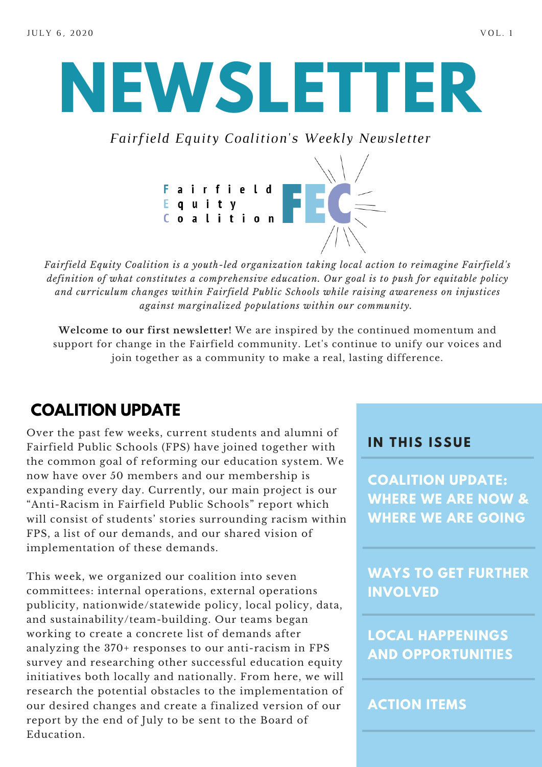# **NEWSLETTER**

*Fairfield Equity Coalition's Weekly Newsletter*



*Fairfield Equity Coalition is a youth-led organization taking local action to reimagine Fairfield's definition of what constitutes a comprehensive education. Our goal is to push for equitable policy and curriculum changes within Fairfield Public Schools while raising awareness on injustices against marginalized populations within our community.*

**Welcome to our first newsletter!** We are inspired by the continued momentum and support for change in the Fairfield community. Let's continue to unify our voices and join together as a community to make a real, lasting difference.

## **COALITION UPDATE**

Over the past few weeks, current students and alumni of Fairfield Public Schools (FPS) have joined together with the common goal of reforming our education system. We now have over 50 members and our membership is expanding every day. Currently, our main project is our "Anti-Racism in Fairfield Public Schools" report which will consist of students' stories surrounding racism within FPS, a list of our demands, and our shared vision of implementation of these demands.

This week, we organized our coalition into seven committees: internal operations, external operations publicity, nationwide/statewide policy, local policy, data, and sustainability/team-building. Our teams began working to create a concrete list of demands after analyzing the 370+ responses to our anti-racism in FPS survey and researching other successful education equity initiatives both locally and nationally. From here, we will research the potential obstacles to the implementation of our desired changes and create a finalized version of our report by the end of July to be sent to the Board of Education.

#### **I N THIS ISSUE**

**COALITION UPDATE: WHERE WE ARE NOW & WHERE WE ARE GOING**

**WAYS TO GET FURTHER INVOLVED**

**LOCAL HAPPENINGS AND OPPORTUNITIES**

#### **ACTION ITEMS**